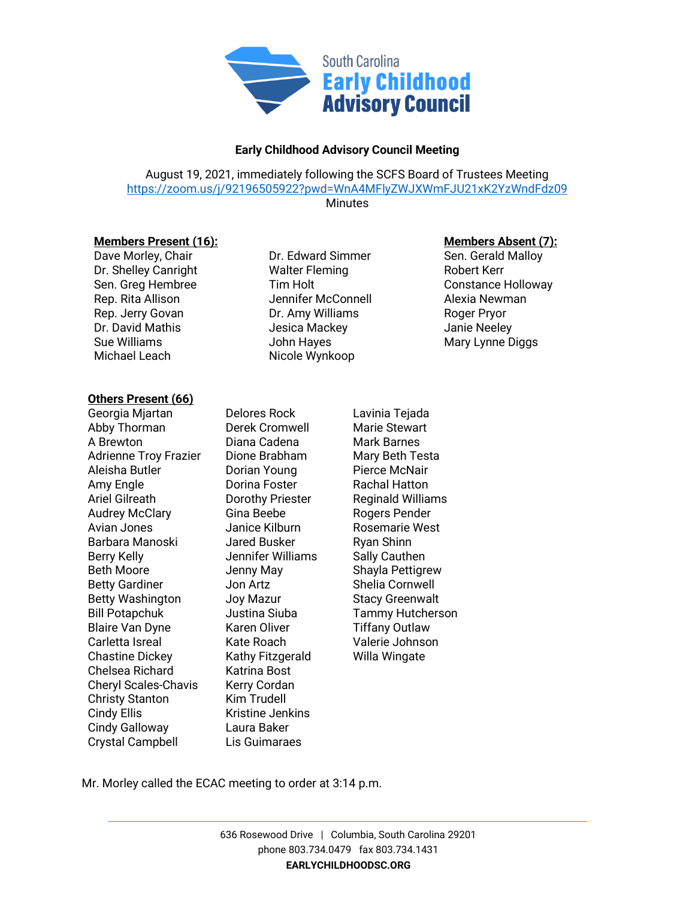

## **Early Childhood Advisory Council Meeting**

August 19, 2021, immediately following the SCFS Board of Trustees Meeting <https://zoom.us/j/92196505922?pwd=WnA4MFlyZWJXWmFJU21xK2YzWndFdz09>

**Minutes** 

Dave Morley, Chair Dr. Edward Simmer Dr. Shelley Canright Walter Fleming Robert Kerr Rep. Rita Allison **Network** Jennifer McConnell **Alexia Newman** Rep. Jerry Govan **Dr.** Amy Williams Roger Pryor Dr. David Mathis **Jesica Mackey** Janie Neeley Sue Williams **Mary Lynne Diggs Sue Williams** Mary Lynne Diggs Michael Leach Nicole Wynkoop

## **Others Present (66)**

Georgia Mjartan Delores Rock Lavinia Tejada Abby Thorman **Derek Cromwell** Marie Stewart A Brewton **Diana Cadena** Mark Barnes Adrienne Troy Frazier Dione Brabham Mary Beth Testa Aleisha Butler Dorian Young Pierce McNair Amy Engle **Communist Contract Contract Contract Contract Contract Contract Contract Contract Contract Contract Contract Contract Contract Contract Contract Contract Contract Contract Contract Contract Contract Contract Con** Ariel Gilreath **Dorothy Priester** Reginald Williams Audrey McClary **Gina Beebe** Rogers Pender Avian Jones Janice Kilburn Rosemarie West Barbara Manoski Jared Busker Ryan Shinn Berry Kelly **Sally Cauthen** Jennifer Williams Sally Cauthen Beth Moore **Shayla Pettigrew** Jenny May Shayla Pettigrew Betty Gardiner **Jon Artz** Shelia Cornwell Betty Washington Joy Mazur Stacy Greenwalt Bill Potapchuk Justina Siuba Tammy Hutcherson Blaire Van Dyne Karen Oliver Tiffany Outlaw Carletta Isreal Kate Roach Valerie Johnson Chastine Dickey Kathy Fitzgerald Willa Wingate Chelsea Richard Katrina Bost Cheryl Scales-Chavis Kerry Cordan Christy Stanton Kim Trudell Cindy Ellis **Kristine Jenkins** Cindy Galloway Laura Baker Crystal Campbell Lis Guimaraes

**Members Present (16):**<br>
Dure Edward Simmer
Dure des Sen. Gerald Malloy
Dave Morley, Chair **Sen. Gerald Malloy**Dure des Sen. Gerald Malloy
Bave Morley, Chair **Sen. Gerald Malloy**Members **Absent (7):**Dure des Sen. Gera Sen. Greg Hembree Tim Holt Constance Holloway

Mr. Morley called the ECAC meeting to order at 3:14 p.m.